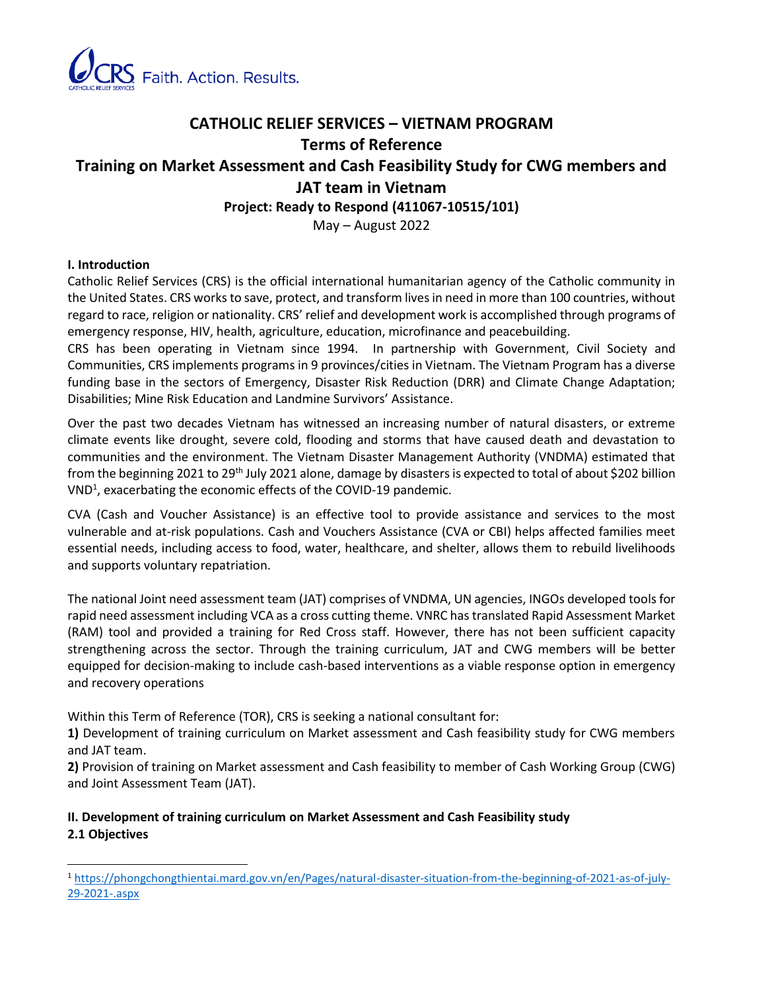

# **CATHOLIC RELIEF SERVICES – VIETNAM PROGRAM Terms of Reference Training on Market Assessment and Cash Feasibility Study for CWG members and JAT team in Vietnam**

**Project: Ready to Respond (411067-10515/101)**

May – August 2022

# **I. Introduction**

Catholic Relief Services (CRS) is the official international humanitarian agency of the Catholic community in the United States. CRS works to save, protect, and transform lives in need in more than 100 countries, without regard to race, religion or nationality. CRS' relief and development work is accomplished through programs of emergency response, HIV, health, agriculture, education, microfinance and peacebuilding.

CRS has been operating in Vietnam since 1994. In partnership with Government, Civil Society and Communities, CRS implements programs in 9 provinces/cities in Vietnam. The Vietnam Program has a diverse funding base in the sectors of Emergency, Disaster Risk Reduction (DRR) and Climate Change Adaptation; Disabilities; Mine Risk Education and Landmine Survivors' Assistance.

Over the past two decades Vietnam has witnessed an increasing number of natural disasters, or extreme climate events like drought, severe cold, flooding and storms that have caused death and devastation to communities and the environment. The Vietnam Disaster Management Authority (VNDMA) estimated that from the beginning 2021 to 29<sup>th</sup> July 2021 alone, damage by disasters is expected to total of about \$202 billion  $VND<sup>1</sup>$ , exacerbating the economic effects of the COVID-19 pandemic.

CVA (Cash and Voucher Assistance) is an effective tool to provide assistance and services to the most vulnerable and at-risk populations. Cash and Vouchers Assistance (CVA or CBI) helps affected families meet essential needs, including access to food, water, healthcare, and shelter, allows them to rebuild livelihoods and supports voluntary repatriation.

The national Joint need assessment team (JAT) comprises of VNDMA, UN agencies, INGOs developed tools for rapid need assessment including VCA as a cross cutting theme. VNRC has translated Rapid Assessment Market (RAM) tool and provided a training for Red Cross staff. However, there has not been sufficient capacity strengthening across the sector. Through the training curriculum, JAT and CWG members will be better equipped for decision-making to include cash-based interventions as a viable response option in emergency and recovery operations

Within this Term of Reference (TOR), CRS is seeking a national consultant for:

**1)** Development of training curriculum on Market assessment and Cash feasibility study for CWG members and JAT team.

**2)** Provision of training on Market assessment and Cash feasibility to member of Cash Working Group (CWG) and Joint Assessment Team (JAT).

# **II. Development of training curriculum on Market Assessment and Cash Feasibility study 2.1 Objectives**

<sup>1</sup> [https://phongchongthientai.mard.gov.vn/en/Pages/natural-disaster-situation-from-the-beginning-of-2021-as-of-july-](https://phongchongthientai.mard.gov.vn/en/Pages/natural-disaster-situation-from-the-beginning-of-2021-as-of-july-29-2021-.aspx)[29-2021-.aspx](https://phongchongthientai.mard.gov.vn/en/Pages/natural-disaster-situation-from-the-beginning-of-2021-as-of-july-29-2021-.aspx)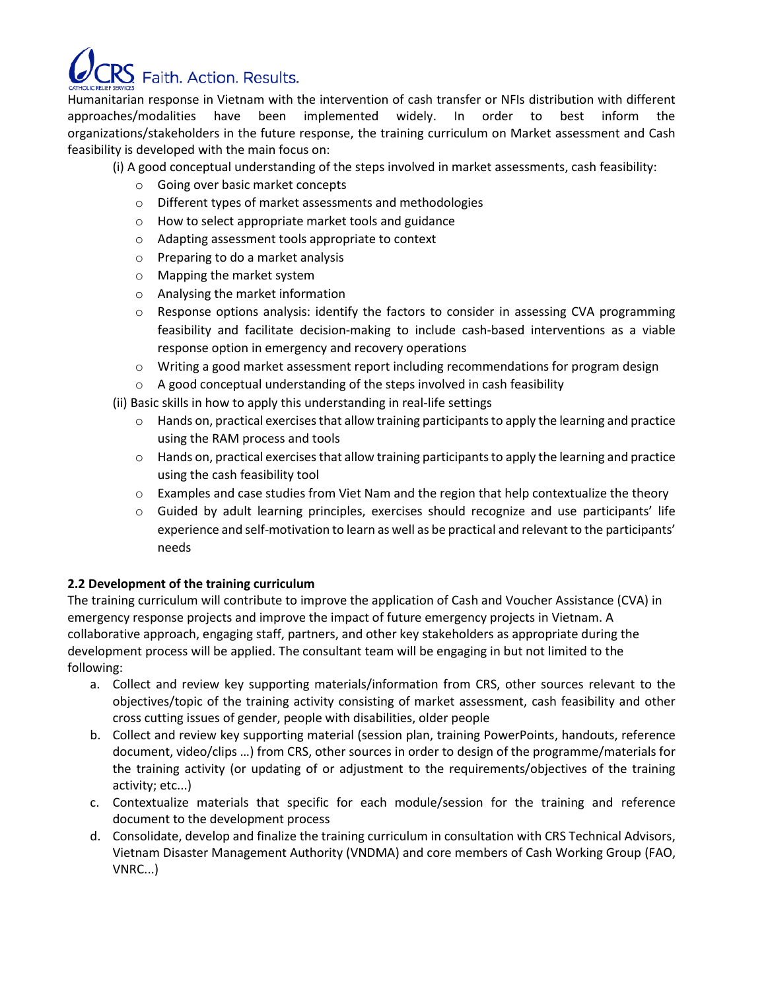

Humanitarian response in Vietnam with the intervention of cash transfer or NFIs distribution with different approaches/modalities have been implemented widely. In order to best inform the organizations/stakeholders in the future response, the training curriculum on Market assessment and Cash feasibility is developed with the main focus on:

(i) A good conceptual understanding of the steps involved in market assessments, cash feasibility:

- o Going over basic market concepts
- o Different types of market assessments and methodologies
- o How to select appropriate market tools and guidance
- o Adapting assessment tools appropriate to context
- o Preparing to do a market analysis
- o Mapping the market system
- o Analysing the market information
- $\circ$  Response options analysis: identify the factors to consider in assessing CVA programming feasibility and facilitate decision-making to include cash-based interventions as a viable response option in emergency and recovery operations
- $\circ$  Writing a good market assessment report including recommendations for program design
- o A good conceptual understanding of the steps involved in cash feasibility
- (ii) Basic skills in how to apply this understanding in real-life settings
	- $\circ$  Hands on, practical exercises that allow training participants to apply the learning and practice using the RAM process and tools
	- $\circ$  Hands on, practical exercises that allow training participants to apply the learning and practice using the cash feasibility tool
	- $\circ$  Examples and case studies from Viet Nam and the region that help contextualize the theory
	- $\circ$  Guided by adult learning principles, exercises should recognize and use participants' life experience and self-motivation to learn as well as be practical and relevant to the participants' needs

## **2.2 Development of the training curriculum**

The training curriculum will contribute to improve the application of Cash and Voucher Assistance (CVA) in emergency response projects and improve the impact of future emergency projects in Vietnam. A collaborative approach, engaging staff, partners, and other key stakeholders as appropriate during the development process will be applied. The consultant team will be engaging in but not limited to the following:

- a. Collect and review key supporting materials/information from CRS, other sources relevant to the objectives/topic of the training activity consisting of market assessment, cash feasibility and other cross cutting issues of gender, people with disabilities, older people
- b. Collect and review key supporting material (session plan, training PowerPoints, handouts, reference document, video/clips …) from CRS, other sources in order to design of the programme/materials for the training activity (or updating of or adjustment to the requirements/objectives of the training activity; etc...)
- c. Contextualize materials that specific for each module/session for the training and reference document to the development process
- d. Consolidate, develop and finalize the training curriculum in consultation with CRS Technical Advisors, Vietnam Disaster Management Authority (VNDMA) and core members of Cash Working Group (FAO, VNRC...)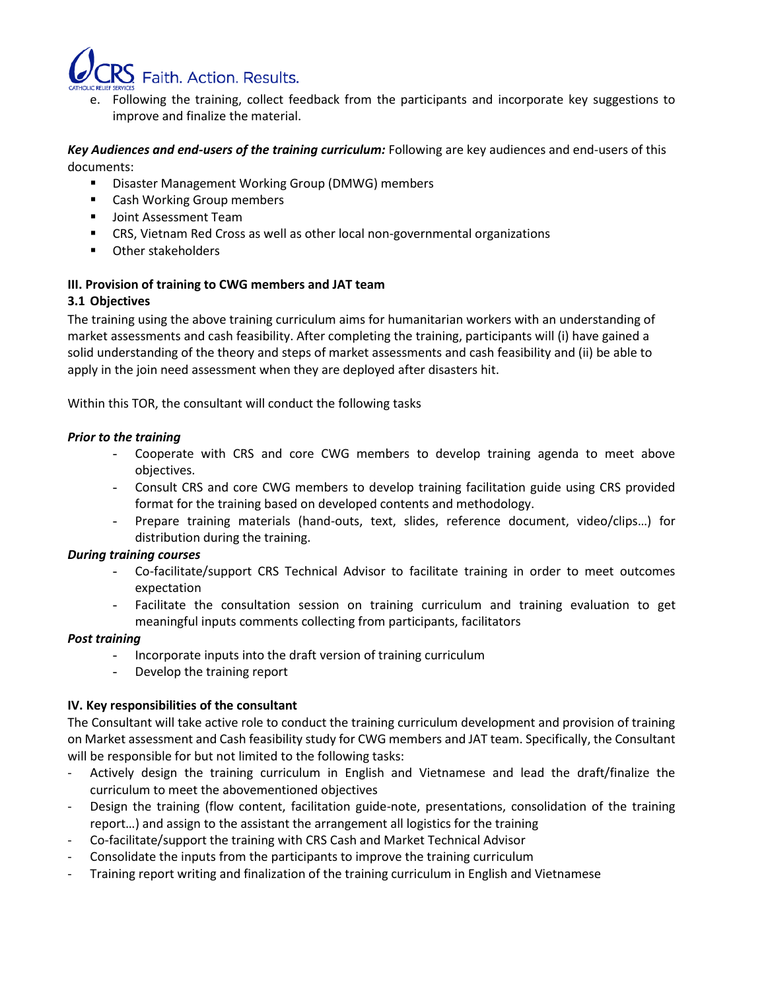

e. Following the training, collect feedback from the participants and incorporate key suggestions to improve and finalize the material.

## *Key Audiences and end-users of the training curriculum:* Following are key audiences and end-users of this documents:

- Disaster Management Working Group (DMWG) members
- Cash Working Group members
- Joint Assessment Team
- CRS, Vietnam Red Cross as well as other local non-governmental organizations
- Other stakeholders

## **III. Provision of training to CWG members and JAT team**

## **3.1 Objectives**

The training using the above training curriculum aims for humanitarian workers with an understanding of market assessments and cash feasibility. After completing the training, participants will (i) have gained a solid understanding of the theory and steps of market assessments and cash feasibility and (ii) be able to apply in the join need assessment when they are deployed after disasters hit.

Within this TOR, the consultant will conduct the following tasks

#### *Prior to the training*

- Cooperate with CRS and core CWG members to develop training agenda to meet above objectives.
- Consult CRS and core CWG members to develop training facilitation guide using CRS provided format for the training based on developed contents and methodology.
- Prepare training materials (hand-outs, text, slides, reference document, video/clips...) for distribution during the training.

## *During training courses*

- Co-facilitate/support CRS Technical Advisor to facilitate training in order to meet outcomes expectation
- Facilitate the consultation session on training curriculum and training evaluation to get meaningful inputs comments collecting from participants, facilitators

#### *Post training*

- Incorporate inputs into the draft version of training curriculum
- Develop the training report

## **IV. Key responsibilities of the consultant**

The Consultant will take active role to conduct the training curriculum development and provision of training on Market assessment and Cash feasibility study for CWG members and JAT team. Specifically, the Consultant will be responsible for but not limited to the following tasks:

- Actively design the training curriculum in English and Vietnamese and lead the draft/finalize the curriculum to meet the abovementioned objectives
- Design the training (flow content, facilitation guide-note, presentations, consolidation of the training report…) and assign to the assistant the arrangement all logistics for the training
- Co-facilitate/support the training with CRS Cash and Market Technical Advisor
- Consolidate the inputs from the participants to improve the training curriculum
- Training report writing and finalization of the training curriculum in English and Vietnamese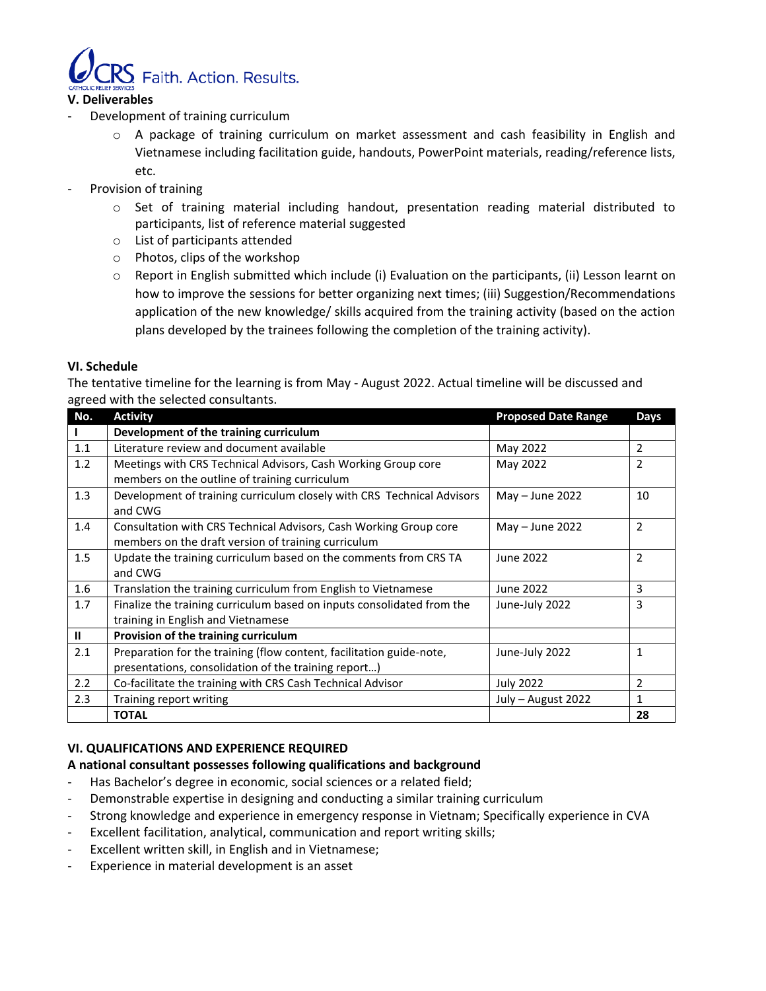

## **V. Deliverables**

- Development of training curriculum
	- o A package of training curriculum on market assessment and cash feasibility in English and Vietnamese including facilitation guide, handouts, PowerPoint materials, reading/reference lists, etc.
- Provision of training
	- $\circ$  Set of training material including handout, presentation reading material distributed to participants, list of reference material suggested
	- o List of participants attended
	- o Photos, clips of the workshop
	- $\circ$  Report in English submitted which include (i) Evaluation on the participants, (ii) Lesson learnt on how to improve the sessions for better organizing next times; (iii) Suggestion/Recommendations application of the new knowledge/ skills acquired from the training activity (based on the action plans developed by the trainees following the completion of the training activity).

#### **VI. Schedule**

The tentative timeline for the learning is from May - August 2022. Actual timeline will be discussed and agreed with the selected consultants.

| No.          | <b>Activity</b>                                                        | <b>Proposed Date Range</b> | <b>Days</b>    |
|--------------|------------------------------------------------------------------------|----------------------------|----------------|
|              | Development of the training curriculum                                 |                            |                |
| 1.1          | Literature review and document available                               | May 2022                   | $\overline{2}$ |
| 1.2          | Meetings with CRS Technical Advisors, Cash Working Group core          | May 2022                   | 2              |
|              | members on the outline of training curriculum                          |                            |                |
| 1.3          | Development of training curriculum closely with CRS Technical Advisors | May - June 2022            | 10             |
|              | and CWG                                                                |                            |                |
| 1.4          | Consultation with CRS Technical Advisors, Cash Working Group core      | May - June 2022            | $\overline{2}$ |
|              | members on the draft version of training curriculum                    |                            |                |
| 1.5          | Update the training curriculum based on the comments from CRS TA       | June 2022                  | $\overline{2}$ |
|              | and CWG                                                                |                            |                |
| 1.6          | Translation the training curriculum from English to Vietnamese         | June 2022                  | 3              |
| 1.7          | Finalize the training curriculum based on inputs consolidated from the | June-July 2022             | 3              |
|              | training in English and Vietnamese                                     |                            |                |
| $\mathbf{I}$ | Provision of the training curriculum                                   |                            |                |
| 2.1          | Preparation for the training (flow content, facilitation guide-note,   | June-July 2022             | 1              |
|              | presentations, consolidation of the training report)                   |                            |                |
| 2.2          | Co-facilitate the training with CRS Cash Technical Advisor             | <b>July 2022</b>           | 2              |
| 2.3          | Training report writing                                                | July - August 2022         | 1              |
|              | <b>TOTAL</b>                                                           |                            | 28             |

## **VI. QUALIFICATIONS AND EXPERIENCE REQUIRED**

## **A national consultant possesses following qualifications and background**

- Has Bachelor's degree in economic, social sciences or a related field;
- Demonstrable expertise in designing and conducting a similar training curriculum
- Strong knowledge and experience in emergency response in Vietnam; Specifically experience in CVA
- Excellent facilitation, analytical, communication and report writing skills;
- Excellent written skill, in English and in Vietnamese;
- Experience in material development is an asset